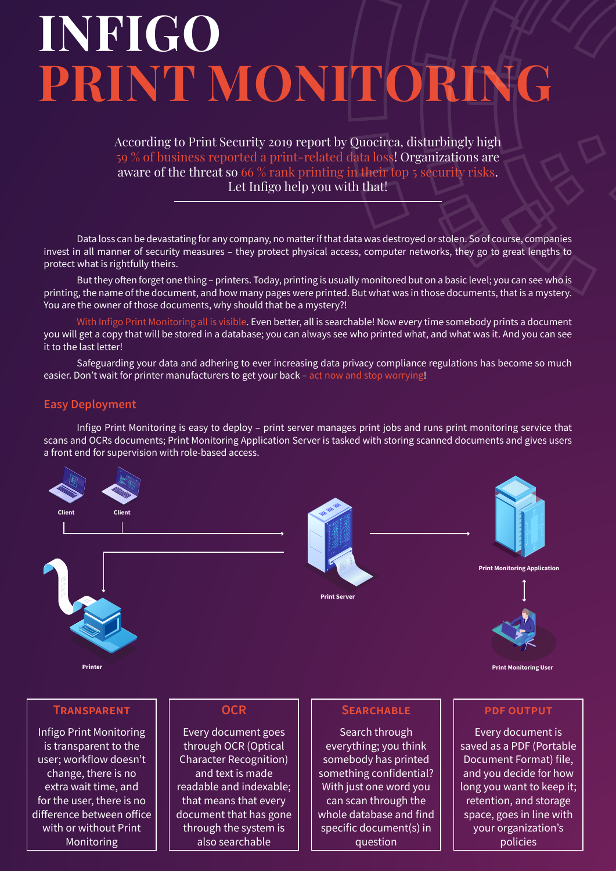# **INFIGO PRINT MONITORING**

According to Print Security 2019 report by Quocirca, disturbingly high 59 % of business reported a print-related data loss! Organizations are aware of the threat so 66 % rank printing in their top 5 security risks. Let Infigo help you with that!

Data loss can be devastating for any company, no matter if that data was destroyed or stolen. So of course, companies invest in all manner of security measures – they protect physical access, computer networks, they go to great lengths to protect what is rightfully theirs.

But they often forget one thing – printers. Today, printing is usually monitored but on a basic level; you can see who is printing, the name of the document, and how many pages were printed. But what was in those documents, that is a mystery. You are the owner of those documents, why should that be a mystery?!

With Infigo Print Monitoring all is visible. Even better, all is searchable! Now every time somebody prints a document you will get a copy that will be stored in a database; you can always see who printed what, and what was it. And you can see it to the last letter!

Safeguarding your data and adhering to ever increasing data privacy compliance regulations has become so much easier. Don't wait for printer manufacturers to get your back – act now and stop worrying!

# **Easy Deployment**

Infigo Print Monitoring is easy to deploy – print server manages print jobs and runs print monitoring service that scans and OCRs documents; Print Monitoring Application Server is tasked with storing scanned documents and gives users a front end for supervision with role-based access.





**Printe** 





**Print Monitoring Application**



**Print Monitoring User**

## **Transparent**

Infigo Print Monitoring is transparent to the user; workflow doesn't change, there is no extra wait time, and for the user, there is no difference between office with or without Print Monitoring

## **OCR**

Every document goes through OCR (Optical Character Recognition) and text is made readable and indexable; that means that every document that has gone through the system is also searchable

### **Searchable**

Search through everything; you think somebody has printed something confidential? With just one word you can scan through the whole database and find specific document(s) in question

### **pdf output**

Every document is saved as a PDF (Portable Document Format) file, and you decide for how long you want to keep it; retention, and storage space, goes in line with your organization's policies